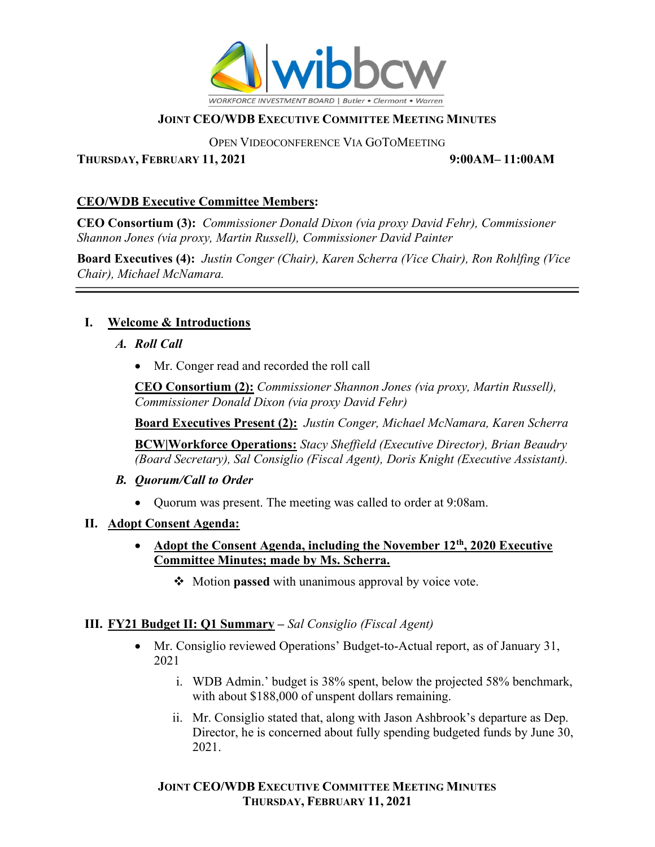

OPEN VIDEOCONFERENCE VIA GOTOMEETING

THURSDAY, FEBRUARY 11, 2021 9:00AM– 11:00AM

# CEO/WDB Executive Committee Members:

CEO Consortium (3): Commissioner Donald Dixon (via proxy David Fehr), Commissioner Shannon Jones (via proxy, Martin Russell), Commissioner David Painter

Board Executives (4): Justin Conger (Chair), Karen Scherra (Vice Chair), Ron Rohlfing (Vice Chair), Michael McNamara.

# I. Welcome & Introductions

- A. Roll Call
	- Mr. Conger read and recorded the roll call

CEO Consortium (2): Commissioner Shannon Jones (via proxy, Martin Russell), Commissioner Donald Dixon (via proxy David Fehr)

**Board Executives Present (2):** Justin Conger, Michael McNamara, Karen Scherra

BCW|Workforce Operations: Stacy Sheffield (Executive Director), Brian Beaudry (Board Secretary), Sal Consiglio (Fiscal Agent), Doris Knight (Executive Assistant).

- B. Quorum/Call to Order
	- Quorum was present. The meeting was called to order at 9:08am.
- II. Adopt Consent Agenda:
	- Adopt the Consent Agenda, including the November  $12<sup>th</sup>$ , 2020 Executive Committee Minutes; made by Ms. Scherra.
		- $\triangleleft$  Motion passed with unanimous approval by voice vote.

# III. FY21 Budget II: Q1 Summary – Sal Consiglio (Fiscal Agent)

- Mr. Consiglio reviewed Operations' Budget-to-Actual report, as of January 31, 2021
	- i. WDB Admin.' budget is 38% spent, below the projected 58% benchmark, with about \$188,000 of unspent dollars remaining.
	- ii. Mr. Consiglio stated that, along with Jason Ashbrook's departure as Dep. Director, he is concerned about fully spending budgeted funds by June 30, 2021.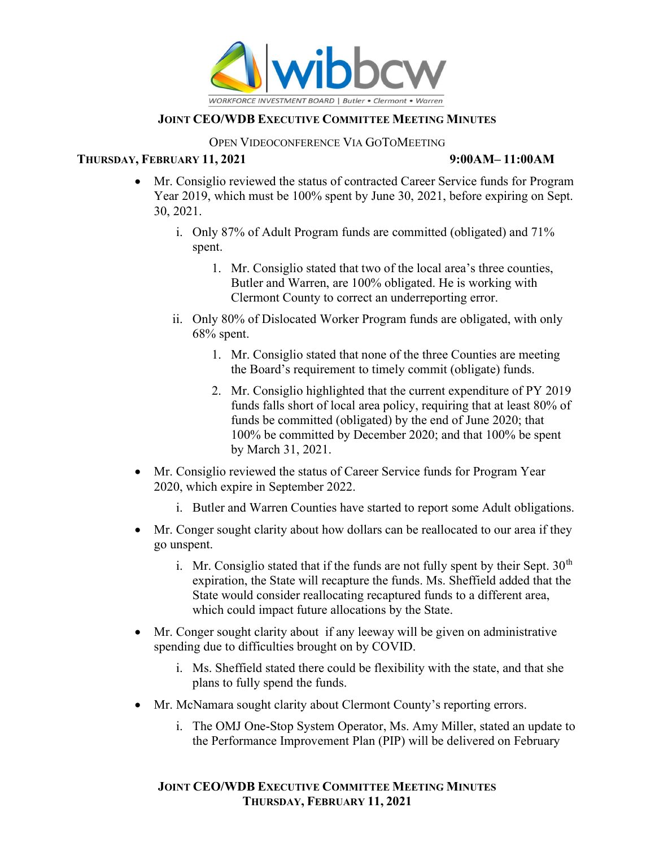

#### OPEN VIDEOCONFERENCE VIA GOTOMEETING

### THURSDAY, FEBRUARY 11, 2021 9:00AM– 11:00AM

- Mr. Consiglio reviewed the status of contracted Career Service funds for Program Year 2019, which must be 100% spent by June 30, 2021, before expiring on Sept. 30, 2021.
	- i. Only 87% of Adult Program funds are committed (obligated) and 71% spent.
		- 1. Mr. Consiglio stated that two of the local area's three counties, Butler and Warren, are 100% obligated. He is working with Clermont County to correct an underreporting error.
	- ii. Only 80% of Dislocated Worker Program funds are obligated, with only  $68\%$  spent.
		- 1. Mr. Consiglio stated that none of the three Counties are meeting the Board's requirement to timely commit (obligate) funds.
		- 2. Mr. Consiglio highlighted that the current expenditure of PY 2019 funds falls short of local area policy, requiring that at least 80% of funds be committed (obligated) by the end of June 2020; that 100% be committed by December 2020; and that 100% be spent by March 31, 2021.
- Mr. Consiglio reviewed the status of Career Service funds for Program Year 2020, which expire in September 2022.
	- i. Butler and Warren Counties have started to report some Adult obligations.
- Mr. Conger sought clarity about how dollars can be reallocated to our area if they go unspent.
	- i. Mr. Consiglio stated that if the funds are not fully spent by their Sept.  $30<sup>th</sup>$ expiration, the State will recapture the funds. Ms. Sheffield added that the State would consider reallocating recaptured funds to a different area, which could impact future allocations by the State.
- Mr. Conger sought clarity about if any leeway will be given on administrative spending due to difficulties brought on by COVID.
	- i. Ms. Sheffield stated there could be flexibility with the state, and that she plans to fully spend the funds.
- Mr. McNamara sought clarity about Clermont County's reporting errors.
	- i. The OMJ One-Stop System Operator, Ms. Amy Miller, stated an update to the Performance Improvement Plan (PIP) will be delivered on February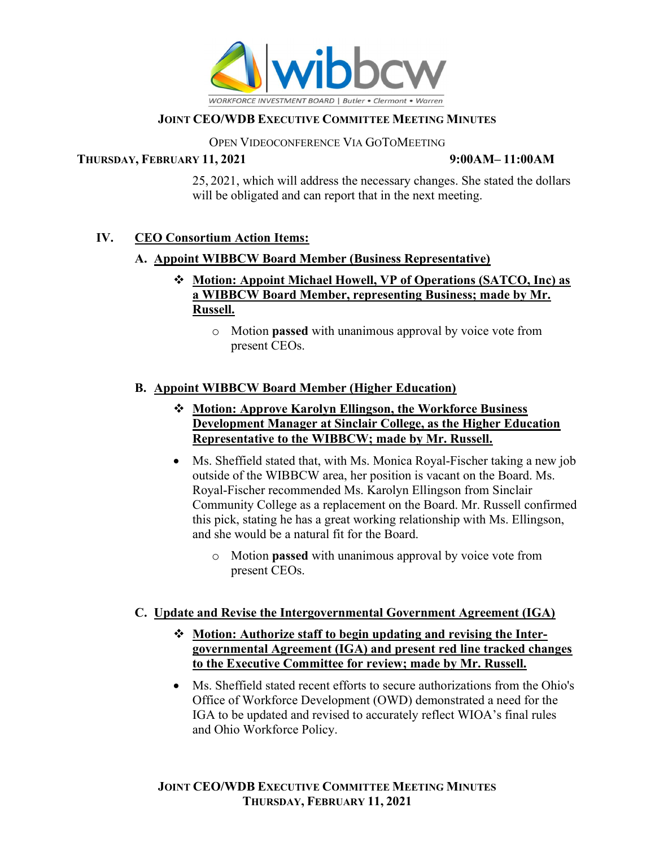

### OPEN VIDEOCONFERENCE VIA GOTOMEETING

### THURSDAY, FEBRUARY 11, 2021 9:00AM- 11:00AM

25, 2021, which will address the necessary changes. She stated the dollars will be obligated and can report that in the next meeting.

# IV. CEO Consortium Action Items:

# A. Appoint WIBBCW Board Member (Business Representative)

- Motion: Appoint Michael Howell, VP of Operations (SATCO, Inc) as a WIBBCW Board Member, representing Business; made by Mr. Russell.
	- o Motion passed with unanimous approval by voice vote from present CEOs.

# B. Appoint WIBBCW Board Member (Higher Education)

- Motion: Approve Karolyn Ellingson, the Workforce Business Development Manager at Sinclair College, as the Higher Education Representative to the WIBBCW; made by Mr. Russell.
- Ms. Sheffield stated that, with Ms. Monica Royal-Fischer taking a new job outside of the WIBBCW area, her position is vacant on the Board. Ms. Royal-Fischer recommended Ms. Karolyn Ellingson from Sinclair Community College as a replacement on the Board. Mr. Russell confirmed this pick, stating he has a great working relationship with Ms. Ellingson, and she would be a natural fit for the Board.
	- o Motion passed with unanimous approval by voice vote from present CEOs.

# C. Update and Revise the Intergovernmental Government Agreement (IGA)

- Motion: Authorize staff to begin updating and revising the Intergovernmental Agreement (IGA) and present red line tracked changes to the Executive Committee for review; made by Mr. Russell.
- Ms. Sheffield stated recent efforts to secure authorizations from the Ohio's Office of Workforce Development (OWD) demonstrated a need for the IGA to be updated and revised to accurately reflect WIOA's final rules and Ohio Workforce Policy.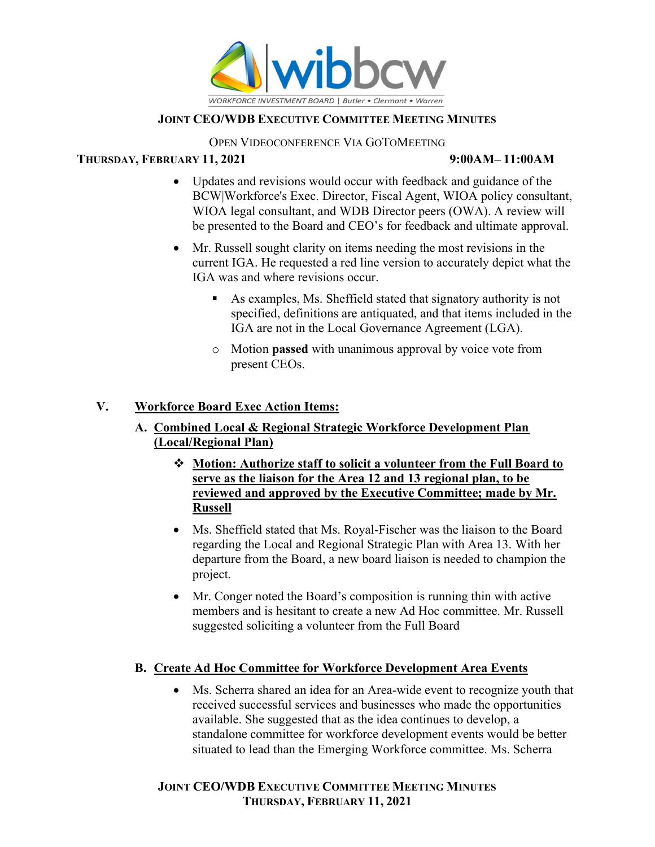

### OPEN VIDEOCONFERENCE VIA GOTOMEETING

## THURSDAY, FEBRUARY 11, 2021 9:00AM- 11:00AM

- Updates and revisions would occur with feedback and guidance of the BCW|Workforce's Exec. Director, Fiscal Agent, WIOA policy consultant, WIOA legal consultant, and WDB Director peers (OWA). A review will be presented to the Board and CEO's for feedback and ultimate approval.
- Mr. Russell sought clarity on items needing the most revisions in the current IGA. He requested a red line version to accurately depict what the IGA was and where revisions occur.
	- As examples, Ms. Sheffield stated that signatory authority is not specified, definitions are antiquated, and that items included in the IGA are not in the Local Governance Agreement (LGA).
	- o Motion passed with unanimous approval by voice vote from present CEOs.

# V. Workforce Board Exec Action Items:

- A. Combined Local & Regional Strategic Workforce Development Plan (Local/Regional Plan)
	- Motion: Authorize staff to solicit a volunteer from the Full Board to serve as the liaison for the Area 12 and 13 regional plan, to be reviewed and approved by the Executive Committee; made by Mr. Russell
	- Ms. Sheffield stated that Ms. Royal-Fischer was the liaison to the Board regarding the Local and Regional Strategic Plan with Area 13. With her departure from the Board, a new board liaison is needed to champion the project.
	- Mr. Conger noted the Board's composition is running thin with active members and is hesitant to create a new Ad Hoc committee. Mr. Russell suggested soliciting a volunteer from the Full Board

# B. Create Ad Hoc Committee for Workforce Development Area Events

 Ms. Scherra shared an idea for an Area-wide event to recognize youth that received successful services and businesses who made the opportunities available. She suggested that as the idea continues to develop, a standalone committee for workforce development events would be better situated to lead than the Emerging Workforce committee. Ms. Scherra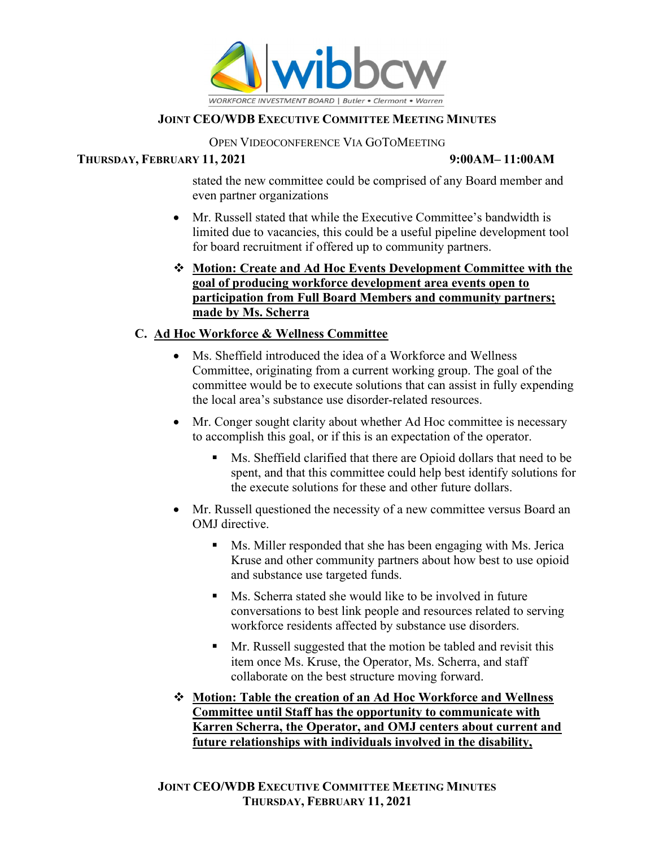

### OPEN VIDEOCONFERENCE VIA GOTOMEETING

### THURSDAY, FEBRUARY 11, 2021 9:00AM- 11:00AM

stated the new committee could be comprised of any Board member and even partner organizations

- Mr. Russell stated that while the Executive Committee's bandwidth is limited due to vacancies, this could be a useful pipeline development tool for board recruitment if offered up to community partners.
- Motion: Create and Ad Hoc Events Development Committee with the goal of producing workforce development area events open to participation from Full Board Members and community partners; made by Ms. Scherra

# C. Ad Hoc Workforce & Wellness Committee

- Ms. Sheffield introduced the idea of a Workforce and Wellness Committee, originating from a current working group. The goal of the committee would be to execute solutions that can assist in fully expending the local area's substance use disorder-related resources.
- Mr. Conger sought clarity about whether Ad Hoc committee is necessary to accomplish this goal, or if this is an expectation of the operator.
	- Ms. Sheffield clarified that there are Opioid dollars that need to be spent, and that this committee could help best identify solutions for the execute solutions for these and other future dollars.
- Mr. Russell questioned the necessity of a new committee versus Board an OMJ directive.
	- Ms. Miller responded that she has been engaging with Ms. Jerica Kruse and other community partners about how best to use opioid and substance use targeted funds.
	- Ms. Scherra stated she would like to be involved in future conversations to best link people and resources related to serving workforce residents affected by substance use disorders.
	- **Mr.** Russell suggested that the motion be tabled and revisit this item once Ms. Kruse, the Operator, Ms. Scherra, and staff collaborate on the best structure moving forward.
- Motion: Table the creation of an Ad Hoc Workforce and Wellness Committee until Staff has the opportunity to communicate with Karren Scherra, the Operator, and OMJ centers about current and future relationships with individuals involved in the disability,